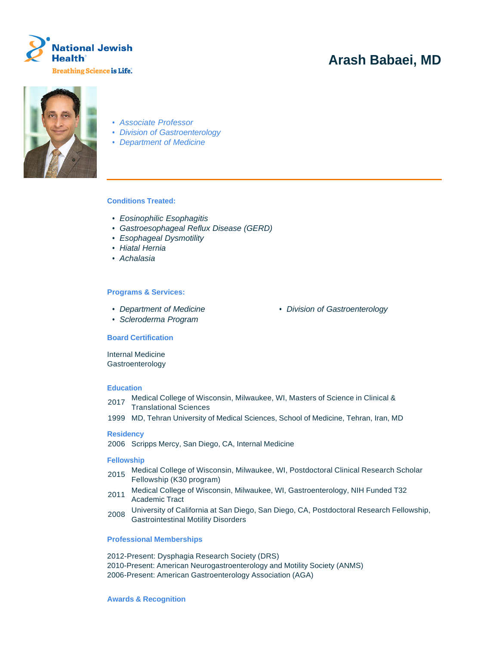

# **Arash Babaei, MD**



- Associate Professor
- Division of Gastroenterology
- Department of Medicine

# **Conditions Treated:**

- Eosinophilic Esophagitis
- Gastroesophageal Reflux Disease (GERD)
- Esophageal Dysmotility
- Hiatal Hernia
- Achalasia

## **Programs & Services:**

- 
- Scleroderma Program

# • Department of Medicine • Division of Gastroenterology

#### **Board Certification**

Internal Medicine Gastroenterology

# **Education**

- 2017 Medical College of Wisconsin, Milwaukee, WI, Masters of Science in Clinical & Translational Sciences
- 1999 MD, Tehran University of Medical Sciences, School of Medicine, Tehran, Iran, MD

## **Residency**

2006 Scripps Mercy, San Diego, CA, Internal Medicine

#### **Fellowship**

- 2015 Medical College of Wisconsin, Milwaukee, WI, Postdoctoral Clinical Research Scholar Fellowship (K30 program)
- 2011 Medical College of Wisconsin, Milwaukee, WI, Gastroenterology, NIH Funded T32 Academic Tract
- 2008 University of California at San Diego, San Diego, CA, Postdoctoral Research Fellowship, Gastrointestinal Motility Disorders

#### **Professional Memberships**

2012-Present: Dysphagia Research Society (DRS) 2010-Present: American Neurogastroenterology and Motility Society (ANMS) 2006-Present: American Gastroenterology Association (AGA)